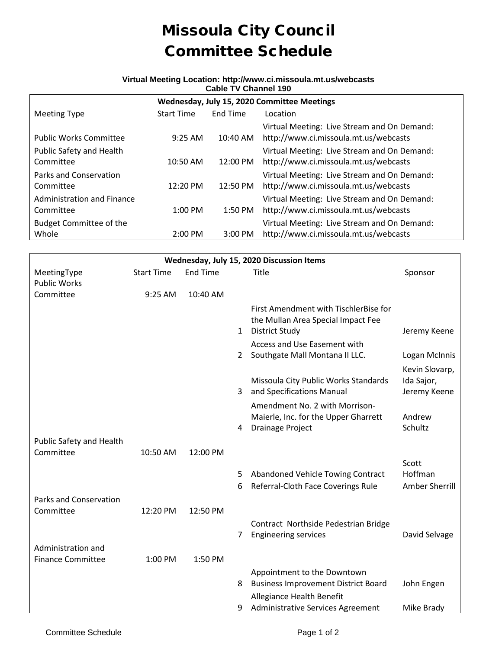## Missoula City Council Committee Schedule

## **Virtual Meeting Location: http://www.ci.missoula.mt.us/webcasts Cable TV Channel 190**

| Wednesday, July 15, 2020 Committee Meetings    |                   |           |                                                                                      |  |  |  |  |  |
|------------------------------------------------|-------------------|-----------|--------------------------------------------------------------------------------------|--|--|--|--|--|
| <b>Meeting Type</b>                            | <b>Start Time</b> | End Time  | Location                                                                             |  |  |  |  |  |
| <b>Public Works Committee</b>                  | $9:25$ AM         | 10:40 AM  | Virtual Meeting: Live Stream and On Demand:<br>http://www.ci.missoula.mt.us/webcasts |  |  |  |  |  |
| Public Safety and Health<br>Committee          | 10:50 AM          | 12:00 PM  | Virtual Meeting: Live Stream and On Demand:<br>http://www.ci.missoula.mt.us/webcasts |  |  |  |  |  |
| Parks and Conservation<br>Committee            | 12:20 PM          | 12:50 PM  | Virtual Meeting: Live Stream and On Demand:<br>http://www.ci.missoula.mt.us/webcasts |  |  |  |  |  |
| <b>Administration and Finance</b><br>Committee | $1:00$ PM         | $1:50$ PM | Virtual Meeting: Live Stream and On Demand:<br>http://www.ci.missoula.mt.us/webcasts |  |  |  |  |  |
| <b>Budget Committee of the</b><br>Whole        | 2:00 PM           | 3:00 PM   | Virtual Meeting: Live Stream and On Demand:<br>http://www.ci.missoula.mt.us/webcasts |  |  |  |  |  |

| Wednesday, July 15, 2020 Discussion Items |                   |                 |                |                                                                                                      |                            |  |  |  |  |
|-------------------------------------------|-------------------|-----------------|----------------|------------------------------------------------------------------------------------------------------|----------------------------|--|--|--|--|
| MeetingType                               | <b>Start Time</b> | <b>End Time</b> |                | Title                                                                                                | Sponsor                    |  |  |  |  |
| <b>Public Works</b>                       |                   |                 |                |                                                                                                      |                            |  |  |  |  |
| Committee                                 | 9:25 AM           | 10:40 AM        |                |                                                                                                      |                            |  |  |  |  |
|                                           |                   |                 | 1              | First Amendment with TischlerBise for<br>the Mullan Area Special Impact Fee<br><b>District Study</b> | Jeremy Keene               |  |  |  |  |
|                                           |                   |                 |                | Access and Use Easement with                                                                         |                            |  |  |  |  |
|                                           |                   |                 | $\overline{2}$ | Southgate Mall Montana II LLC.                                                                       | Logan McInnis              |  |  |  |  |
|                                           |                   |                 |                |                                                                                                      | Kevin Slovarp,             |  |  |  |  |
|                                           |                   |                 | 3              | Missoula City Public Works Standards<br>and Specifications Manual                                    | Ida Sajor,<br>Jeremy Keene |  |  |  |  |
|                                           |                   |                 |                | Amendment No. 2 with Morrison-<br>Maierle, Inc. for the Upper Gharrett                               | Andrew                     |  |  |  |  |
|                                           |                   |                 | 4              | <b>Drainage Project</b>                                                                              | Schultz                    |  |  |  |  |
| Public Safety and Health                  |                   |                 |                |                                                                                                      |                            |  |  |  |  |
| Committee                                 | 10:50 AM          | 12:00 PM        |                |                                                                                                      |                            |  |  |  |  |
|                                           |                   |                 |                |                                                                                                      | Scott                      |  |  |  |  |
|                                           |                   |                 | 5              | Abandoned Vehicle Towing Contract                                                                    | Hoffman                    |  |  |  |  |
|                                           |                   |                 | 6              | Referral-Cloth Face Coverings Rule                                                                   | Amber Sherrill             |  |  |  |  |
| Parks and Conservation                    |                   |                 |                |                                                                                                      |                            |  |  |  |  |
| Committee                                 | 12:20 PM          | 12:50 PM        |                |                                                                                                      |                            |  |  |  |  |
|                                           |                   |                 |                | Contract Northside Pedestrian Bridge                                                                 |                            |  |  |  |  |
|                                           |                   |                 | 7              | <b>Engineering services</b>                                                                          | David Selvage              |  |  |  |  |
| Administration and                        |                   |                 |                |                                                                                                      |                            |  |  |  |  |
| <b>Finance Committee</b>                  | 1:00 PM           | 1:50 PM         |                |                                                                                                      |                            |  |  |  |  |
|                                           |                   |                 |                | Appointment to the Downtown                                                                          |                            |  |  |  |  |
|                                           |                   |                 | 8              | <b>Business Improvement District Board</b>                                                           | John Engen                 |  |  |  |  |
|                                           |                   |                 | 9              | Allegiance Health Benefit<br>Administrative Services Agreement                                       | Mike Brady                 |  |  |  |  |